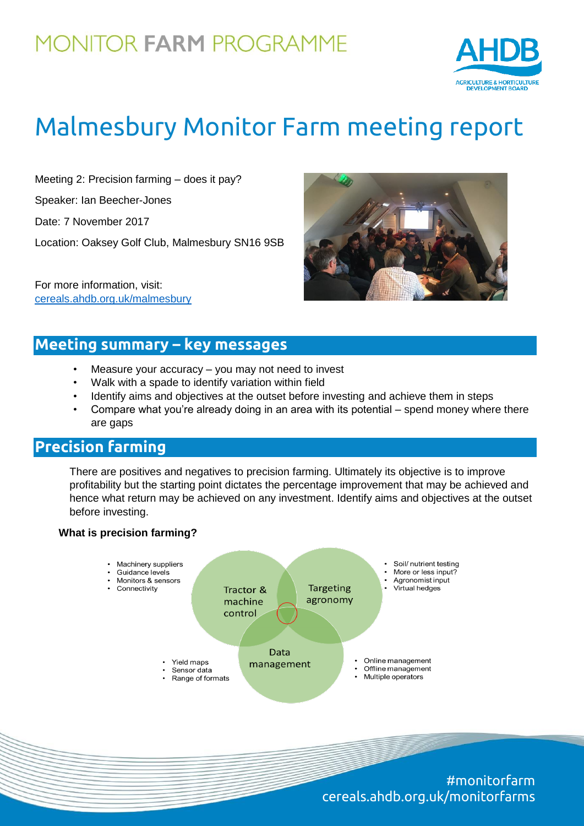## **MONITOR FARM PROGRAMME**



# Malmesbury Monitor Farm meeting report

Meeting 2: Precision farming – does it pay?

Speaker: Ian Beecher-Jones

Date: 7 November 2017

Location: Oaksey Golf Club, Malmesbury SN16 9SB

For more information, visit: [cereals.ahdb.org.uk/malmesbury](https://cereals.ahdb.org.uk/malmesbury)



## **Meeting summary – key messages**

- Measure your accuracy  $-$  you may not need to invest
- Walk with a spade to identify variation within field
- Identify aims and objectives at the outset before investing and achieve them in steps
- Compare what you're already doing in an area with its potential spend money where there are gaps

## **Precision farming**

There are positives and negatives to precision farming. Ultimately its objective is to improve profitability but the starting point dictates the percentage improvement that may be achieved and hence what return may be achieved on any investment. Identify aims and objectives at the outset before investing.

#### **What is precision farming?**



#monitorfarm cereals.ahdb.org.uk/monitorfarms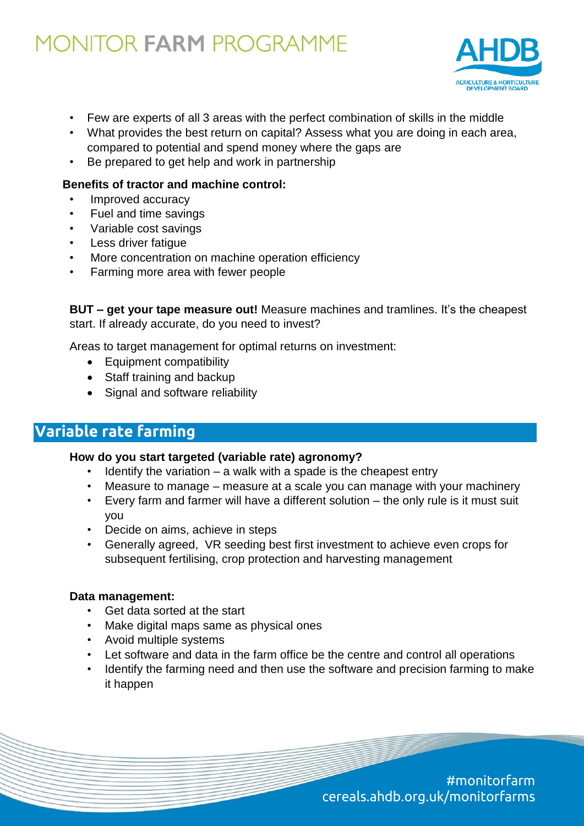## **MONITOR FARM PROGRAMME**



- Few are experts of all 3 areas with the perfect combination of skills in the middle
- What provides the best return on capital? Assess what you are doing in each area, compared to potential and spend money where the gaps are
- Be prepared to get help and work in partnership

#### **Benefits of tractor and machine control:**

- Improved accuracy
- Fuel and time savings
- Variable cost savings
- Less driver fatigue
- More concentration on machine operation efficiency
- Farming more area with fewer people

**BUT – get your tape measure out!** Measure machines and tramlines. It's the cheapest start. If already accurate, do you need to invest?

Areas to target management for optimal returns on investment:

- Equipment compatibility
- Staff training and backup
- Signal and software reliability

## **Variable rate farming**

#### **How do you start targeted (variable rate) agronomy?**

- Identify the variation a walk with a spade is the cheapest entry
- Measure to manage measure at a scale you can manage with your machinery
- Every farm and farmer will have a different solution the only rule is it must suit you
- Decide on aims, achieve in steps
- Generally agreed, VR seeding best first investment to achieve even crops for subsequent fertilising, crop protection and harvesting management

#### **Data management:**

- Get data sorted at the start
- Make digital maps same as physical ones
- Avoid multiple systems
- Let software and data in the farm office be the centre and control all operations
- Identify the farming need and then use the software and precision farming to make it happen

#monitorfarm cereals.ahdb.org.uk/monitorfarms